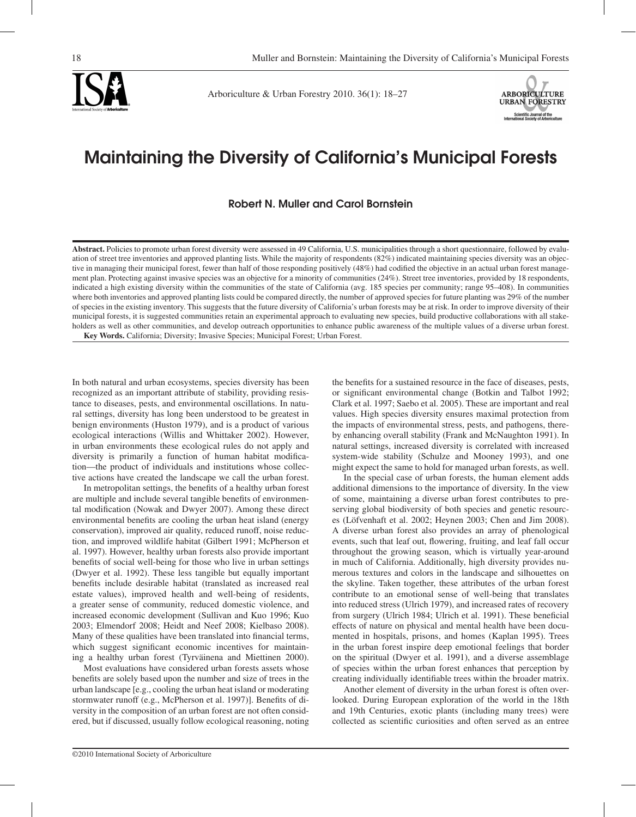



Arboriculture & Urban Forestry 2010. 36(1): 18–27



# Maintaining the Diversity of California's Municipal Forests

Robert N. Muller and Carol Bornstein

**Abstract.** Policies to promote urban forest diversity were assessed in 49 California, U.S. municipalities through a short questionnaire, followed by evaluation of street tree inventories and approved planting lists. While the majority of respondents (82%) indicated maintaining species diversity was an objective in managing their municipal forest, fewer than half of those responding positively (48%) had codified the objective in an actual urban forest management plan. Protecting against invasive species was an objective for a minority of communities (24%). Street tree inventories, provided by 18 respondents, indicated a high existing diversity within the communities of the state of California (avg. 185 species per community; range 95–408). In communities where both inventories and approved planting lists could be compared directly, the number of approved species for future planting was 29% of the number of species in the existing inventory. This suggests that the future diversity of California's urban forests may be at risk. In order to improve diversity of their municipal forests, it is suggested communities retain an experimental approach to evaluating new species, build productive collaborations with all stakeholders as well as other communities, and develop outreach opportunities to enhance public awareness of the multiple values of a diverse urban forest. **Key Words.** California; Diversity; Invasive Species; Municipal Forest; Urban Forest.

In both natural and urban ecosystems, species diversity has been recognized as an important attribute of stability, providing resistance to diseases, pests, and environmental oscillations. In natural settings, diversity has long been understood to be greatest in benign environments (Huston 1979), and is a product of various ecological interactions (Willis and Whittaker 2002). However, in urban environments these ecological rules do not apply and diversity is primarily a function of human habitat modification—the product of individuals and institutions whose collective actions have created the landscape we call the urban forest.

In metropolitan settings, the benefits of a healthy urban forest are multiple and include several tangible benefits of environmental modification (Nowak and Dwyer 2007). Among these direct environmental benefits are cooling the urban heat island (energy conservation), improved air quality, reduced runoff, noise reduction, and improved wildlife habitat (Gilbert 1991; McPherson et al. 1997). However, healthy urban forests also provide important benefits of social well-being for those who live in urban settings (Dwyer et al. 1992). These less tangible but equally important benefits include desirable habitat (translated as increased real estate values), improved health and well-being of residents, a greater sense of community, reduced domestic violence, and increased economic development (Sullivan and Kuo 1996; Kuo 2003; Elmendorf 2008; Heidt and Neef 2008; Kielbaso 2008). Many of these qualities have been translated into financial terms, which suggest significant economic incentives for maintaining a healthy urban forest (Tyrväinena and Miettinen 2000).

Most evaluations have considered urban forests assets whose benefits are solely based upon the number and size of trees in the urban landscape [e.g., cooling the urban heat island or moderating stormwater runoff (e.g., McPherson et al. 1997)]. Benefits of diversity in the composition of an urban forest are not often considered, but if discussed, usually follow ecological reasoning, noting

the benefits for a sustained resource in the face of diseases, pests, or significant environmental change (Botkin and Talbot 1992; Clark et al. 1997; Saebo et al. 2005). These are important and real values. High species diversity ensures maximal protection from the impacts of environmental stress, pests, and pathogens, thereby enhancing overall stability (Frank and McNaughton 1991). In natural settings, increased diversity is correlated with increased system-wide stability (Schulze and Mooney 1993), and one might expect the same to hold for managed urban forests, as well.

In the special case of urban forests, the human element adds additional dimensions to the importance of diversity. In the view of some, maintaining a diverse urban forest contributes to preserving global biodiversity of both species and genetic resources (Löfvenhaft et al. 2002; Heynen 2003; Chen and Jim 2008). A diverse urban forest also provides an array of phenological events, such that leaf out, flowering, fruiting, and leaf fall occur throughout the growing season, which is virtually year-around in much of California. Additionally, high diversity provides numerous textures and colors in the landscape and silhouettes on the skyline. Taken together, these attributes of the urban forest contribute to an emotional sense of well-being that translates into reduced stress (Ulrich 1979), and increased rates of recovery from surgery (Ulrich 1984; Ulrich et al. 1991). These beneficial effects of nature on physical and mental health have been documented in hospitals, prisons, and homes (Kaplan 1995). Trees in the urban forest inspire deep emotional feelings that border on the spiritual (Dwyer et al. 1991), and a diverse assemblage of species within the urban forest enhances that perception by creating individually identifiable trees within the broader matrix.

Another element of diversity in the urban forest is often overlooked. During European exploration of the world in the 18th and 19th Centuries, exotic plants (including many trees) were collected as scientific curiosities and often served as an entree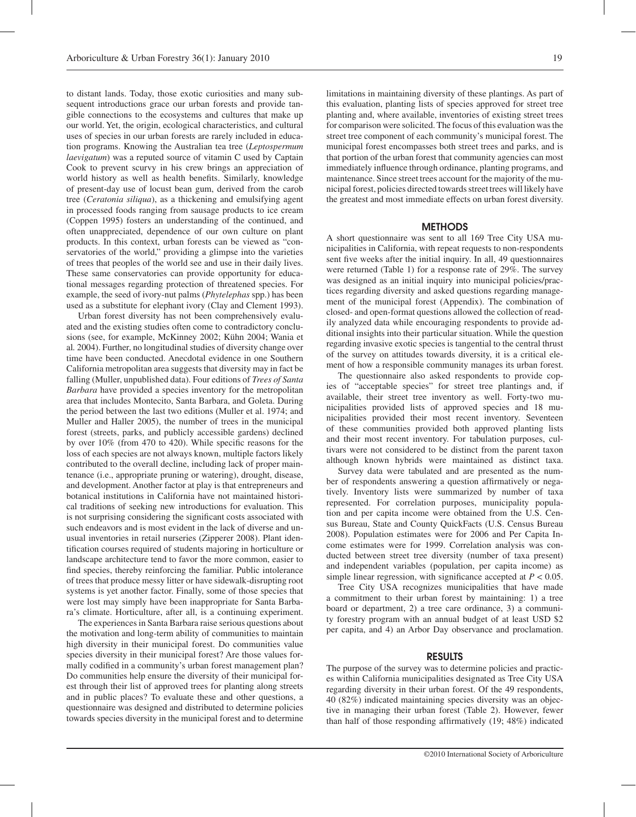to distant lands. Today, those exotic curiosities and many subsequent introductions grace our urban forests and provide tangible connections to the ecosystems and cultures that make up our world. Yet, the origin, ecological characteristics, and cultural uses of species in our urban forests are rarely included in education programs. Knowing the Australian tea tree (*Leptospermum laevigatum*) was a reputed source of vitamin C used by Captain Cook to prevent scurvy in his crew brings an appreciation of world history as well as health benefits. Similarly, knowledge of present-day use of locust bean gum, derived from the carob tree (*Ceratonia siliqua*), as a thickening and emulsifying agent in processed foods ranging from sausage products to ice cream (Coppen 1995) fosters an understanding of the continued, and often unappreciated, dependence of our own culture on plant products. In this context, urban forests can be viewed as "conservatories of the world," providing a glimpse into the varieties of trees that peoples of the world see and use in their daily lives. These same conservatories can provide opportunity for educational messages regarding protection of threatened species. For example, the seed of ivory-nut palms (*Phytelephas* spp.) has been used as a substitute for elephant ivory (Clay and Clement 1993).

Urban forest diversity has not been comprehensively evaluated and the existing studies often come to contradictory conclusions (see, for example, McKinney 2002; Kühn 2004; Wania et al*.* 2004). Further, no longitudinal studies of diversity change over time have been conducted. Anecdotal evidence in one Southern California metropolitan area suggests that diversity may in fact be falling (Muller, unpublished data). Four editions of *Trees of Santa Barbara* have provided a species inventory for the metropolitan area that includes Montecito, Santa Barbara, and Goleta. During the period between the last two editions (Muller et al. 1974; and Muller and Haller 2005), the number of trees in the municipal forest (streets, parks, and publicly accessible gardens) declined by over 10% (from 470 to 420). While specific reasons for the loss of each species are not always known, multiple factors likely contributed to the overall decline, including lack of proper maintenance (i.e., appropriate pruning or watering), drought, disease, and development. Another factor at play is that entrepreneurs and botanical institutions in California have not maintained historical traditions of seeking new introductions for evaluation. This is not surprising considering the significant costs associated with such endeavors and is most evident in the lack of diverse and unusual inventories in retail nurseries (Zipperer 2008). Plant identification courses required of students majoring in horticulture or landscape architecture tend to favor the more common, easier to find species, thereby reinforcing the familiar. Public intolerance of trees that produce messy litter or have sidewalk-disrupting root systems is yet another factor. Finally, some of those species that were lost may simply have been inappropriate for Santa Barbara's climate. Horticulture, after all, is a continuing experiment.

The experiences in Santa Barbara raise serious questions about the motivation and long-term ability of communities to maintain high diversity in their municipal forest. Do communities value species diversity in their municipal forest? Are those values formally codified in a community's urban forest management plan? Do communities help ensure the diversity of their municipal forest through their list of approved trees for planting along streets and in public places? To evaluate these and other questions, a questionnaire was designed and distributed to determine policies towards species diversity in the municipal forest and to determine limitations in maintaining diversity of these plantings. As part of this evaluation, planting lists of species approved for street tree planting and, where available, inventories of existing street trees for comparison were solicited. The focus of this evaluation was the street tree component of each community's municipal forest. The municipal forest encompasses both street trees and parks, and is that portion of the urban forest that community agencies can most immediately influence through ordinance, planting programs, and maintenance. Since street trees account for the majority of the municipal forest, policies directed towards street trees will likely have the greatest and most immediate effects on urban forest diversity.

#### **METHODS**

A short questionnaire was sent to all 169 Tree City USA municipalities in California, with repeat requests to non-respondents sent five weeks after the initial inquiry. In all, 49 questionnaires were returned (Table 1) for a response rate of 29%. The survey was designed as an initial inquiry into municipal policies/practices regarding diversity and asked questions regarding management of the municipal forest (Appendix). The combination of closed- and open-format questions allowed the collection of readily analyzed data while encouraging respondents to provide additional insights into their particular situation. While the question regarding invasive exotic species is tangential to the central thrust of the survey on attitudes towards diversity, it is a critical element of how a responsible community manages its urban forest.

The questionnaire also asked respondents to provide copies of "acceptable species" for street tree plantings and, if available, their street tree inventory as well. Forty-two municipalities provided lists of approved species and 18 municipalities provided their most recent inventory. Seventeen of these communities provided both approved planting lists and their most recent inventory. For tabulation purposes, cultivars were not considered to be distinct from the parent taxon although known hybrids were maintained as distinct taxa.

Survey data were tabulated and are presented as the number of respondents answering a question affirmatively or negatively. Inventory lists were summarized by number of taxa represented. For correlation purposes, municipality population and per capita income were obtained from the U.S. Census Bureau, State and County QuickFacts (U.S. Census Bureau 2008). Population estimates were for 2006 and Per Capita Income estimates were for 1999. Correlation analysis was conducted between street tree diversity (number of taxa present) and independent variables (population, per capita income) as simple linear regression, with significance accepted at *P* < 0.05.

Tree City USA recognizes municipalities that have made a commitment to their urban forest by maintaining: 1) a tree board or department, 2) a tree care ordinance, 3) a community forestry program with an annual budget of at least USD \$2 per capita, and 4) an Arbor Day observance and proclamation.

# RESULTS

The purpose of the survey was to determine policies and practices within California municipalities designated as Tree City USA regarding diversity in their urban forest. Of the 49 respondents, 40 (82%) indicated maintaining species diversity was an objective in managing their urban forest (Table 2). However, fewer than half of those responding affirmatively (19; 48%) indicated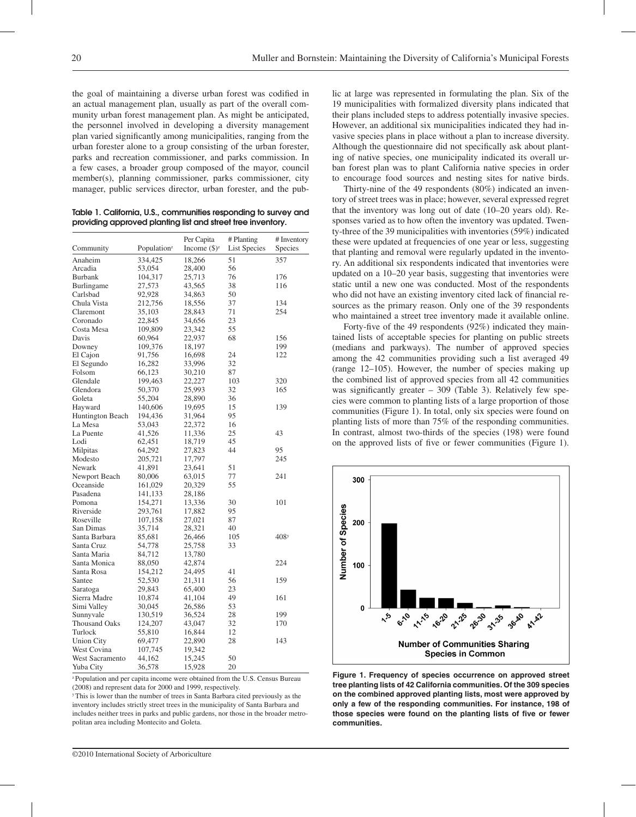the goal of maintaining a diverse urban forest was codified in an actual management plan, usually as part of the overall community urban forest management plan. As might be anticipated, the personnel involved in developing a diversity management plan varied significantly among municipalities, ranging from the urban forester alone to a group consisting of the urban forester, parks and recreation commissioner, and parks commission. In a few cases, a broader group composed of the mayor, council member(s), planning commissioner, parks commissioner, city manager, public services director, urban forester, and the pub-

| Table 1. California, U.S., communities responding to survey and |  |
|-----------------------------------------------------------------|--|
| providing approved planting list and street tree inventory.     |  |

|                      |                         | Per Capita        | # Planting          | # Inventory      |
|----------------------|-------------------------|-------------------|---------------------|------------------|
| Community            | Population <sup>z</sup> | Income $(\$)^{z}$ | <b>List Species</b> | Species          |
| Anaheim              | 334,425                 | 18,266            | 51                  | 357              |
| Arcadia              | 53,054                  | 28,400            | 56                  |                  |
| Burbank              | 104,317                 | 25,713            | 76                  | 176              |
| Burlingame           | 27,573                  | 43,565            | 38                  | 116              |
| Carlsbad             | 92,928                  | 34,863            | 50                  |                  |
| Chula Vista          | 212,756                 | 18,556            | 37                  | 134              |
| Claremont            | 35,103                  | 28,843            | 71                  | 254              |
| Coronado             | 22,845                  | 34,656            | 23                  |                  |
| Costa Mesa           | 109,809                 | 23,342            | 55                  |                  |
| Davis                | 60,964                  | 22,937            | 68                  | 156              |
| Downey               | 109,376                 | 18,197            |                     | 199              |
| El Cajon             | 91,756                  | 16,698            | 24                  | 122              |
| El Segundo           | 16,282                  | 33,996            | 32                  |                  |
| Folsom               | 66,123                  | 30,210            | 87                  |                  |
| Glendale             | 199,463                 | 22,227            | 103                 | 320              |
| Glendora             | 50,370                  | 25,993            | 32                  | 165              |
| Goleta               | 55,204                  | 28,890            | 36                  |                  |
| Hayward              | 140,606                 | 19,695            | 15                  | 139              |
| Huntington Beach     | 194,436                 | 31,964            | 95                  |                  |
| La Mesa              | 53,043                  | 22,372            | 16                  |                  |
| La Puente            | 41,526                  | 11,336            | 25                  | 43               |
| Lodi                 | 62,451                  | 18,719            | 45                  |                  |
| Milpitas             | 64,292                  | 27,823            | 44                  | 95               |
| Modesto              | 205,721                 | 17,797            |                     | 245              |
| Newark               | 41,891                  | 23,641            | 51                  |                  |
| Newport Beach        | 80,006                  | 63,015            | 77                  | 241              |
| Oceanside            | 161,029                 | 20,329            | 55                  |                  |
| Pasadena             |                         |                   |                     |                  |
|                      | 141,133                 | 28,186            |                     |                  |
| Pomona               | 154,271                 | 13,336            | 30                  | 101              |
| Riverside            | 293,761                 | 17,882            | 95                  |                  |
| Roseville            | 107,158                 | 27,021            | 87                  |                  |
| San Dimas            | 35,714                  | 28,321            | 40                  |                  |
| Santa Barbara        | 85,681                  | 26,466            | 105                 | 408 <sup>y</sup> |
| Santa Cruz           | 54,778                  | 25,758            | 33                  |                  |
| Santa Maria          | 84,712                  | 13,780            |                     |                  |
| Santa Monica         | 88,050                  | 42,874            |                     | 224              |
| Santa Rosa           | 154,212                 | 24,495            | 41                  |                  |
| Santee               | 52,530                  | 21,311            | 56                  | 159              |
| Saratoga             | 29,843                  | 65,400            | 23                  |                  |
| Sierra Madre         | 10,874                  | 41,104            | 49                  | 161              |
| Simi Valley          | 30,045                  | 26,586            | 53                  |                  |
| Sunnyvale            | 130,519                 | 36,524            | 28                  | 199              |
| <b>Thousand Oaks</b> | 124,207                 | 43,047            | 32                  | 170              |
| Turlock              | 55,810                  | 16,844            | 12                  |                  |
| <b>Union City</b>    | 69,477                  | 22,890            | 28                  | 143              |
| West Covina          | 107,745                 | 19,342            |                     |                  |
| West Sacramento      | 44,162                  | 15,245            | 50                  |                  |
| Yuba City            | 36.578                  | 15.928            | 20                  |                  |

<sup>&</sup>lt;sup>2</sup> Population and per capita income were obtained from the U.S. Census Bureau (2008) and represent data for 2000 and 1999, respectively.

y This is lower than the number of trees in Santa Barbara cited previously as the inventory includes strictly street trees in the municipality of Santa Barbara and includes neither trees in parks and public gardens, nor those in the broader metropolitan area including Montecito and Goleta.

lic at large was represented in formulating the plan. Six of the 19 municipalities with formalized diversity plans indicated that their plans included steps to address potentially invasive species. However, an additional six municipalities indicated they had invasive species plans in place without a plan to increase diversity. Although the questionnaire did not specifically ask about planting of native species, one municipality indicated its overall urban forest plan was to plant California native species in order to encourage food sources and nesting sites for native birds.

Thirty-nine of the 49 respondents (80%) indicated an inventory of street trees was in place; however, several expressed regret that the inventory was long out of date (10–20 years old). Responses varied as to how often the inventory was updated. Twenty-three of the 39 municipalities with inventories (59%) indicated these were updated at frequencies of one year or less, suggesting that planting and removal were regularly updated in the inventory. An additional six respondents indicated that inventories were updated on a 10–20 year basis, suggesting that inventories were static until a new one was conducted. Most of the respondents who did not have an existing inventory cited lack of financial resources as the primary reason. Only one of the 39 respondents who maintained a street tree inventory made it available online.

Forty-five of the 49 respondents (92%) indicated they maintained lists of acceptable species for planting on public streets (medians and parkways). The number of approved species among the 42 communities providing such a list averaged 49 (range 12–105). However, the number of species making up the combined list of approved species from all 42 communities was significantly greater – 309 (Table 3). Relatively few species were common to planting lists of a large proportion of those communities (Figure 1). In total, only six species were found on planting lists of more than 75% of the responding communities. In contrast, almost two-thirds of the species (198) were found on the approved lists of five or fewer communities (Figure 1).



**Figure 1. Frequency of species occurrence on approved street tree planting lists of 42 California communities. Of the 309 species on the combined approved planting lists, most were approved by only a few of the responding communities. For instance, 198 of those species were found on the planting lists of five or fewer communities.**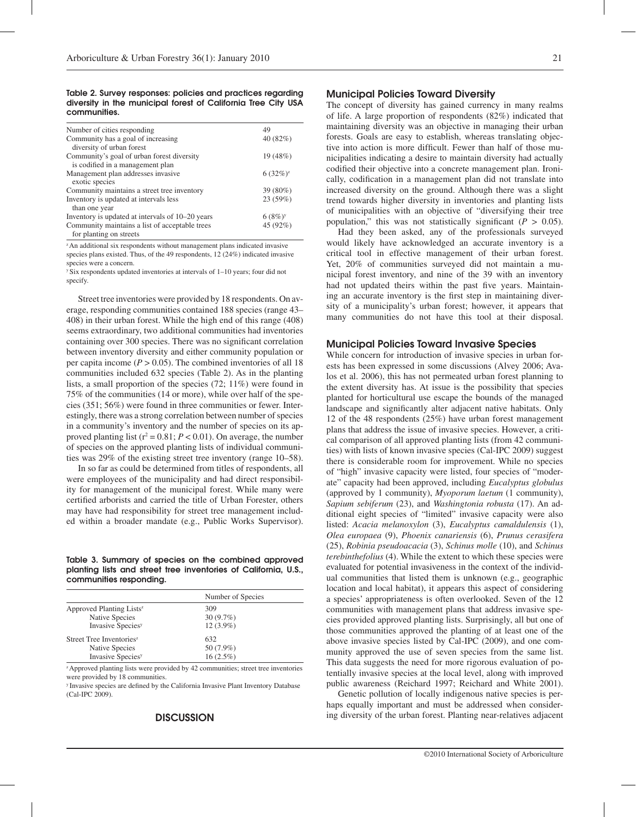Table 2. Survey responses: policies and practices regarding diversity in the municipal forest of California Tree City USA communities.

| Number of cities responding                      | 49                   |
|--------------------------------------------------|----------------------|
| Community has a goal of increasing               | 40 (82%)             |
| diversity of urban forest                        |                      |
| Community's goal of urban forest diversity       | 19 (48%)             |
| is codified in a management plan                 |                      |
| Management plan addresses invasive               | $6(32\%)^2$          |
| exotic species                                   |                      |
| Community maintains a street tree inventory      | 39 (80%)             |
| Inventory is updated at intervals less           | 23 (59%)             |
| than one year                                    |                      |
| Inventory is updated at intervals of 10–20 years | $6(8%)$ <sup>y</sup> |
| Community maintains a list of acceptable trees   | 45 (92%)             |
| for planting on streets                          |                      |

<sup>2</sup> An additional six respondents without management plans indicated invasive species plans existed. Thus, of the 49 respondents, 12 (24%) indicated invasive species were a concern.

 $y$  Six respondents updated inventories at intervals of 1–10 years; four did not specify.

Street tree inventories were provided by 18 respondents. On average, responding communities contained 188 species (range 43– 408) in their urban forest. While the high end of this range (408) seems extraordinary, two additional communities had inventories containing over 300 species. There was no significant correlation between inventory diversity and either community population or per capita income ( $P > 0.05$ ). The combined inventories of all 18 communities included 632 species (Table 2). As in the planting lists, a small proportion of the species (72; 11%) were found in 75% of the communities (14 or more), while over half of the species (351; 56%) were found in three communities or fewer. Interestingly, there was a strong correlation between number of species in a community's inventory and the number of species on its approved planting list  $(r^2 = 0.81; P < 0.01)$ . On average, the number of species on the approved planting lists of individual communities was 29% of the existing street tree inventory (range 10–58).

In so far as could be determined from titles of respondents, all were employees of the municipality and had direct responsibility for management of the municipal forest. While many were certified arborists and carried the title of Urban Forester, others may have had responsibility for street tree management included within a broader mandate (e.g., Public Works Supervisor).

Table 3. Summary of species on the combined approved planting lists and street tree inventories of California, U.S., communities responding.

|                                      | Number of Species |
|--------------------------------------|-------------------|
| Approved Planting Lists <sup>z</sup> | 309               |
| Native Species                       | $30(9.7\%)$       |
| Invasive Species <sup>y</sup>        | $12(3.9\%)$       |
| Street Tree Inventories <sup>z</sup> | 632               |
| Native Species                       | 50 (7.9%)         |
| <b>Invasive Species</b> <sup>y</sup> | $16(2.5\%)$       |

<sup>2</sup> Approved planting lists were provided by 42 communities; street tree inventories were provided by 18 communities.

y Invasive species are defined by the California Invasive Plant Inventory Database (Cal-IPC 2009).

# **DISCUSSION**

## Municipal Policies Toward Diversity

The concept of diversity has gained currency in many realms of life. A large proportion of respondents (82%) indicated that maintaining diversity was an objective in managing their urban forests. Goals are easy to establish, whereas translating objective into action is more difficult. Fewer than half of those municipalities indicating a desire to maintain diversity had actually codified their objective into a concrete management plan. Ironically, codification in a management plan did not translate into increased diversity on the ground. Although there was a slight trend towards higher diversity in inventories and planting lists of municipalities with an objective of "diversifying their tree population," this was not statistically significant ( $P > 0.05$ ).

Had they been asked, any of the professionals surveyed would likely have acknowledged an accurate inventory is a critical tool in effective management of their urban forest. Yet, 20% of communities surveyed did not maintain a municipal forest inventory, and nine of the 39 with an inventory had not updated theirs within the past five years. Maintaining an accurate inventory is the first step in maintaining diversity of a municipality's urban forest; however, it appears that many communities do not have this tool at their disposal.

#### Municipal Policies Toward Invasive Species

While concern for introduction of invasive species in urban forests has been expressed in some discussions (Alvey 2006; Avalos et al. 2006), this has not permeated urban forest planning to the extent diversity has. At issue is the possibility that species planted for horticultural use escape the bounds of the managed landscape and significantly alter adjacent native habitats. Only 12 of the 48 respondents (25%) have urban forest management plans that address the issue of invasive species. However, a critical comparison of all approved planting lists (from 42 communities) with lists of known invasive species (Cal-IPC 2009) suggest there is considerable room for improvement. While no species of "high" invasive capacity were listed, four species of "moderate" capacity had been approved, including *Eucalyptus globulus* (approved by 1 community), *Myoporum laetum* (1 community), *Sapium sebiferum* (23), and *Washingtonia robusta* (17). An additional eight species of "limited" invasive capacity were also listed: *Acacia melanoxylon* (3), *Eucalyptus camaldulensis* (1), *Olea europaea* (9), *Phoenix canariensis* (6), *Prunus cerasifera* (25), *Robinia pseudoacacia* (3), *Schinus molle* (10), and *Schinus terebinthefolius* (4). While the extent to which these species were evaluated for potential invasiveness in the context of the individual communities that listed them is unknown (e.g., geographic location and local habitat), it appears this aspect of considering a species' appropriateness is often overlooked. Seven of the 12 communities with management plans that address invasive species provided approved planting lists. Surprisingly, all but one of those communities approved the planting of at least one of the above invasive species listed by Cal-IPC (2009), and one community approved the use of seven species from the same list. This data suggests the need for more rigorous evaluation of potentially invasive species at the local level, along with improved public awareness (Reichard 1997; Reichard and White 2001).

Genetic pollution of locally indigenous native species is perhaps equally important and must be addressed when considering diversity of the urban forest. Planting near-relatives adjacent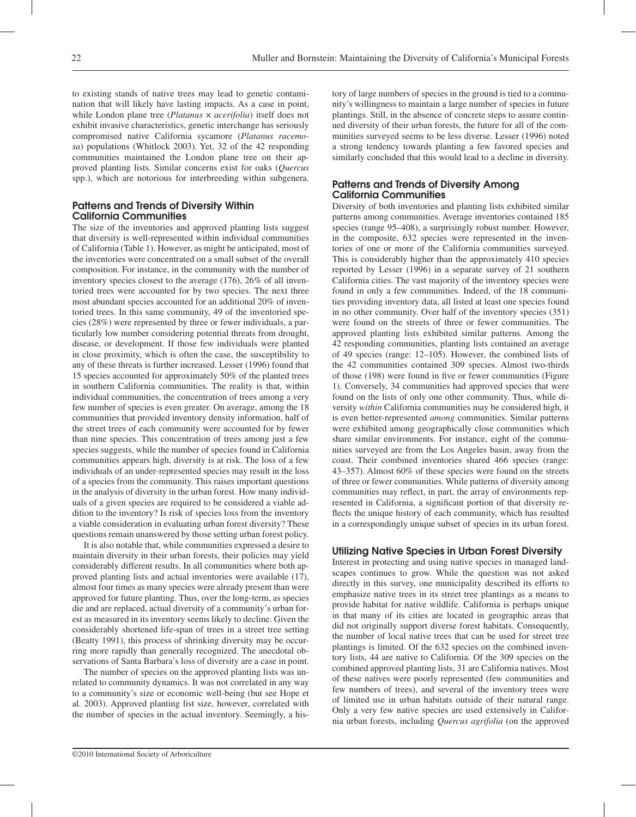to existing stands of native trees may lead to genetic contamination that will likely have lasting impacts. As a case in point, while London plane tree (*Platanus* × *acerifolia*) itself does not exhibit invasive characteristics, genetic interchange has seriously compromised native California sycamore (*Platanus racemosa*) populations (Whitlock 2003). Yet, 32 of the 42 responding communities maintained the London plane tree on their approved planting lists. Similar concerns exist for oaks (*Quercus* spp.), which are notorious for interbreeding within subgenera.

## Patterns and Trends of Diversity Within California Communities

The size of the inventories and approved planting lists suggest that diversity is well-represented within individual communities of California (Table 1). However, as might be anticipated, most of the inventories were concentrated on a small subset of the overall composition. For instance, in the community with the number of inventory species closest to the average (176), 26% of all inventoried trees were accounted for by two species. The next three most abundant species accounted for an additional 20% of inventoried trees. In this same community, 49 of the inventoried species (28%) were represented by three or fewer individuals, a particularly low number considering potential threats from drought, disease, or development. If those few individuals were planted in close proximity, which is often the case, the susceptibility to any of these threats is further increased. Lesser (1996) found that 15 species accounted for approximately 50% of the planted trees in southern California communities. The reality is that, within individual communities, the concentration of trees among a very few number of species is even greater. On average, among the 18 communities that provided inventory density information, half of the street trees of each community were accounted for by fewer than nine species. This concentration of trees among just a few species suggests, while the number of species found in California communities appears high, diversity is at risk. The loss of a few individuals of an under-represented species may result in the loss of a species from the community. This raises important questions in the analysis of diversity in the urban forest. How many individuals of a given species are required to be considered a viable addition to the inventory? Is risk of species loss from the inventory a viable consideration in evaluating urban forest diversity? These questions remain unanswered by those setting urban forest policy.

It is also notable that, while communities expressed a desire to maintain diversity in their urban forests, their policies may yield considerably different results. In all communities where both approved planting lists and actual inventories were available (17), almost four times as many species were already present than were approved for future planting. Thus, over the long-term, as species die and are replaced, actual diversity of a community's urban forest as measured in its inventory seems likely to decline. Given the considerably shortened life-span of trees in a street tree setting (Beatty 1991), this process of shrinking diversity may be occurring more rapidly than generally recognized. The anecdotal observations of Santa Barbara's loss of diversity are a case in point.

The number of species on the approved planting lists was unrelated to community dynamics. It was not correlated in any way to a community's size or economic well-being (but see Hope et al. 2003). Approved planting list size, however, correlated with the number of species in the actual inventory. Seemingly, a his-

tory of large numbers of species in the ground is tied to a community's willingness to maintain a large number of species in future plantings. Still, in the absence of concrete steps to assure continued diversity of their urban forests, the future for all of the communities surveyed seems to be less diverse. Lesser (1996) noted a strong tendency towards planting a few favored species and similarly concluded that this would lead to a decline in diversity.

## Patterns and Trends of Diversity Among California Communities

Diversity of both inventories and planting lists exhibited similar patterns among communities. Average inventories contained 185 species (range 95–408), a surprisingly robust number. However, in the composite, 632 species were represented in the inventories of one or more of the California communities surveyed. This is considerably higher than the approximately 410 species reported by Lesser (1996) in a separate survey of 21 southern California cities. The vast majority of the inventory species were found in only a few communities. Indeed, of the 18 communities providing inventory data, all listed at least one species found in no other community. Over half of the inventory species (351) were found on the streets of three or fewer communities. The approved planting lists exhibited similar patterns. Among the 42 responding communities, planting lists contained an average of 49 species (range: 12–105). However, the combined lists of the 42 communities contained 309 species. Almost two-thirds of those (198) were found in five or fewer communities (Figure 1). Conversely, 34 communities had approved species that were found on the lists of only one other community. Thus, while diversity *within* California communities may be considered high, it is even better-represented *among* communities. Similar patterns were exhibited among geographically close communities which share similar environments. For instance, eight of the communities surveyed are from the Los Angeles basin, away from the coast. Their combined inventories shared 466 species (range: 43–357). Almost 60% of these species were found on the streets of three or fewer communities. While patterns of diversity among communities may reflect, in part, the array of environments represented in California, a significant portion of that diversity reflects the unique history of each community, which has resulted in a correspondingly unique subset of species in its urban forest.

#### Utilizing Native Species in Urban Forest Diversity

Interest in protecting and using native species in managed landscapes continues to grow. While the question was not asked directly in this survey, one municipality described its efforts to emphasize native trees in its street tree plantings as a means to provide habitat for native wildlife. California is perhaps unique in that many of its cities are located in geographic areas that did not originally support diverse forest habitats. Consequently, the number of local native trees that can be used for street tree plantings is limited. Of the 632 species on the combined inventory lists, 44 are native to California. Of the 309 species on the combined approved planting lists, 31 are California natives. Most of these natives were poorly represented (few communities and few numbers of trees), and several of the inventory trees were of limited use in urban habitats outside of their natural range. Only a very few native species are used extensively in California urban forests, including *Quercus agrifolia* (on the approved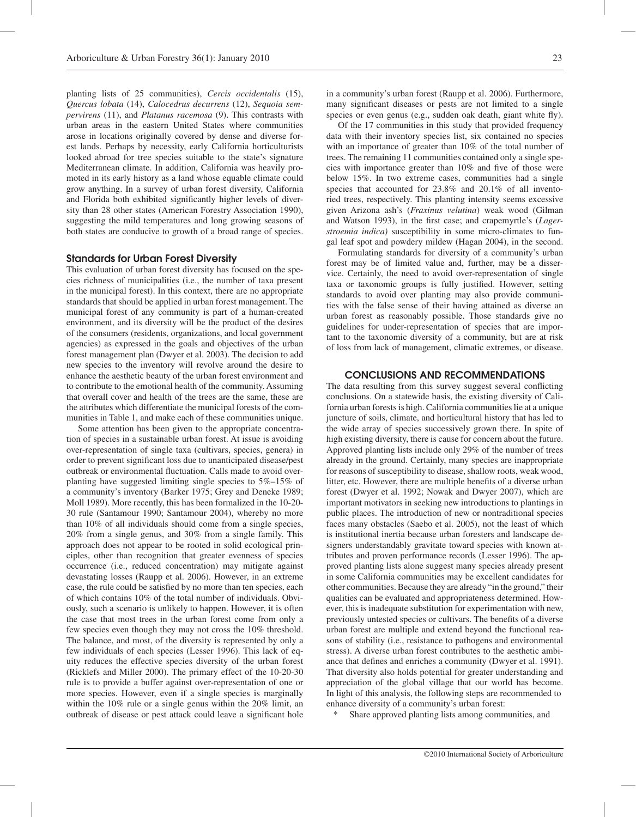planting lists of 25 communities), *Cercis occidentalis* (15), *Quercus lobata* (14), *Calocedrus decurrens* (12), *Sequoia sempervirens* (11), and *Platanus racemosa* (9). This contrasts with urban areas in the eastern United States where communities arose in locations originally covered by dense and diverse forest lands. Perhaps by necessity, early California horticulturists looked abroad for tree species suitable to the state's signature Mediterranean climate. In addition, California was heavily promoted in its early history as a land whose equable climate could grow anything. In a survey of urban forest diversity, California and Florida both exhibited significantly higher levels of diversity than 28 other states (American Forestry Association 1990), suggesting the mild temperatures and long growing seasons of both states are conducive to growth of a broad range of species.

## Standards for Urban Forest Diversity

This evaluation of urban forest diversity has focused on the species richness of municipalities (i.e., the number of taxa present in the municipal forest). In this context, there are no appropriate standards that should be applied in urban forest management. The municipal forest of any community is part of a human-created environment, and its diversity will be the product of the desires of the consumers (residents, organizations, and local government agencies) as expressed in the goals and objectives of the urban forest management plan (Dwyer et al. 2003). The decision to add new species to the inventory will revolve around the desire to enhance the aesthetic beauty of the urban forest environment and to contribute to the emotional health of the community. Assuming that overall cover and health of the trees are the same, these are the attributes which differentiate the municipal forests of the communities in Table 1, and make each of these communities unique.

Some attention has been given to the appropriate concentration of species in a sustainable urban forest. At issue is avoiding over-representation of single taxa (cultivars, species, genera) in order to prevent significant loss due to unanticipated disease/pest outbreak or environmental fluctuation. Calls made to avoid overplanting have suggested limiting single species to 5%–15% of a community's inventory (Barker 1975; Grey and Deneke 1989; Moll 1989). More recently, this has been formalized in the 10-20- 30 rule (Santamour 1990; Santamour 2004), whereby no more than 10% of all individuals should come from a single species, 20% from a single genus, and 30% from a single family. This approach does not appear to be rooted in solid ecological principles, other than recognition that greater evenness of species occurrence (i.e., reduced concentration) may mitigate against devastating losses (Raupp et al. 2006). However, in an extreme case, the rule could be satisfied by no more than ten species, each of which contains 10% of the total number of individuals. Obviously, such a scenario is unlikely to happen. However, it is often the case that most trees in the urban forest come from only a few species even though they may not cross the 10% threshold. The balance, and most, of the diversity is represented by only a few individuals of each species (Lesser 1996). This lack of equity reduces the effective species diversity of the urban forest (Ricklefs and Miller 2000). The primary effect of the 10-20-30 rule is to provide a buffer against over-representation of one or more species. However, even if a single species is marginally within the 10% rule or a single genus within the 20% limit, an outbreak of disease or pest attack could leave a significant hole

in a community's urban forest (Raupp et al. 2006). Furthermore, many significant diseases or pests are not limited to a single species or even genus (e.g., sudden oak death, giant white fly).

Of the 17 communities in this study that provided frequency data with their inventory species list, six contained no species with an importance of greater than 10% of the total number of trees. The remaining 11 communities contained only a single species with importance greater than 10% and five of those were below 15%. In two extreme cases, communities had a single species that accounted for 23.8% and 20.1% of all inventoried trees, respectively. This planting intensity seems excessive given Arizona ash's (*Fraxinus velutina*) weak wood (Gilman and Watson 1993), in the first case; and crapemyrtle's (*Lagerstroemia indica)* susceptibility in some micro-climates to fungal leaf spot and powdery mildew (Hagan 2004), in the second.

Formulating standards for diversity of a community's urban forest may be of limited value and, further, may be a disservice. Certainly, the need to avoid over-representation of single taxa or taxonomic groups is fully justified. However, setting standards to avoid over planting may also provide communities with the false sense of their having attained as diverse an urban forest as reasonably possible. Those standards give no guidelines for under-representation of species that are important to the taxonomic diversity of a community, but are at risk of loss from lack of management, climatic extremes, or disease.

#### CONCLUSIONS AND RECOMMENDATIONS

The data resulting from this survey suggest several conflicting conclusions. On a statewide basis, the existing diversity of California urban forests is high. California communities lie at a unique juncture of soils, climate, and horticultural history that has led to the wide array of species successively grown there. In spite of high existing diversity, there is cause for concern about the future. Approved planting lists include only 29% of the number of trees already in the ground. Certainly, many species are inappropriate for reasons of susceptibility to disease, shallow roots, weak wood, litter, etc. However, there are multiple benefits of a diverse urban forest (Dwyer et al. 1992; Nowak and Dwyer 2007), which are important motivators in seeking new introductions to plantings in public places. The introduction of new or nontraditional species faces many obstacles (Saebo et al. 2005), not the least of which is institutional inertia because urban foresters and landscape designers understandably gravitate toward species with known attributes and proven performance records (Lesser 1996). The approved planting lists alone suggest many species already present in some California communities may be excellent candidates for other communities. Because they are already "in the ground," their qualities can be evaluated and appropriateness determined. However, this is inadequate substitution for experimentation with new, previously untested species or cultivars. The benefits of a diverse urban forest are multiple and extend beyond the functional reasons of stability (i.e., resistance to pathogens and environmental stress). A diverse urban forest contributes to the aesthetic ambiance that defines and enriches a community (Dwyer et al. 1991). That diversity also holds potential for greater understanding and appreciation of the global village that our world has become. In light of this analysis, the following steps are recommended to enhance diversity of a community's urban forest:

Share approved planting lists among communities, and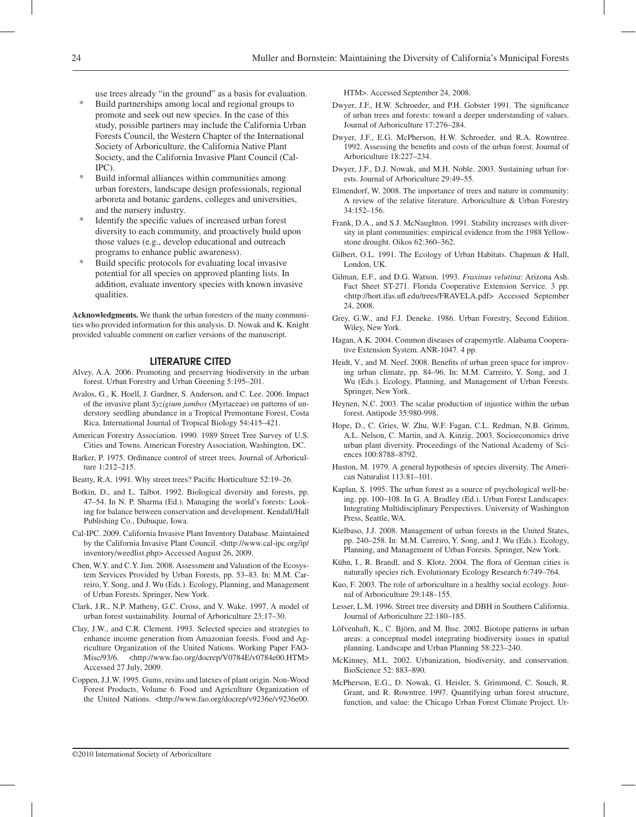use trees already "in the ground" as a basis for evaluation.

- Build partnerships among local and regional groups to promote and seek out new species. In the case of this study, possible partners may include the California Urban Forests Council, the Western Chapter of the International Society of Arboriculture, the California Native Plant Society, and the California Invasive Plant Council (Cal- IPC).
- Build informal alliances within communities among urban foresters, landscape design professionals, regional arboreta and botanic gardens, colleges and universities, and the nursery industry.
- Identify the specific values of increased urban forest diversity to each community, and proactively build upon those values (e.g., develop educational and outreach programs to enhance public awareness).
- \* Build specific protocols for evaluating local invasive potential for all species on approved planting lists. In addition, evaluate inventory species with known invasive qualities.

**Acknowledgments.** We thank the urban foresters of the many communities who provided information for this analysis. D. Nowak and K. Knight provided valuable comment on earlier versions of the manuscript.

#### Literature Cited

- Alvey, A.A. 2006. Promoting and preserving biodiversity in the urban forest. Urban Forestry and Urban Greening 5:195–201.
- Avalos, G., K. Hoell, J. Gardner, S. Anderson, and C. Lee. 2006. Impact of the invasive plant *Syzigium jambos* (Myrtaceae) on patterns of understory seedling abundance in a Tropical Premontane Forest, Costa Rica. International Journal of Tropical Biology 54:415–421.
- American Forestry Association. 1990. 1989 Street Tree Survey of U.S. Cities and Towns. American Forestry Association, Washington, DC.
- Barker, P. 1975. Ordinance control of street trees. Journal of Arboriculture 1:212–215.
- Beatty, R.A. 1991. Why street trees? Pacific Horticulture 52:19–26.
- Botkin, D., and L. Talbot. 1992. Biological diversity and forests, pp. 47–54. In N. P. Sharma (Ed.). Managing the world's forests: Looking for balance between conservation and development. Kendall/Hall Publishing Co., Dubuque, Iowa.
- Cal-IPC. 2009. California Invasive Plant Inventory Database. Maintained by the California Invasive Plant Council. <http://www.cal-ipc.org/ip/ inventory/weedlist.php> Accessed August 26, 2009.
- Chen, W.Y. and C.Y. Jim. 2008. Assessment and Valuation of the Ecosystem Services Provided by Urban Forests, pp. 53–83. In: M.M. Carreiro, Y. Song, and J. Wu (Eds.). Ecology, Planning, and Management of Urban Forests. Springer, New York.
- Clark, J.R., N.P. Matheny, G.C. Cross, and V. Wake. 1997. A model of urban forest sustainability. Journal of Arboriculture 23:17–30.
- Clay, J.W., and C.R. Clement. 1993. Selected species and strategies to enhance income generation from Amazonian forests. Food and Agriculture Organization of the United Nations. Working Paper FAO-Misc/93/6. <http://www.fao.org/docrep/V0784E/v0784e00.HTM> Accessed 27 July, 2009.
- Coppen, J.J.W. 1995. Gums, resins and latexes of plant origin. Non-Wood Forest Products, Volume 6. Food and Agriculture Organization of the United Nations. <http://www.fao.org/docrep/v9236e/v9236e00.

HTM>. Accessed September 24, 2008.

- Dwyer, J.F., H.W. Schroeder, and P.H. Gobster 1991. The significance of urban trees and forests: toward a deeper understanding of values. Journal of Arboriculture 17:276–284.
- Dwyer, J.F., E.G. McPherson, H.W. Schroeder, and R.A. Rowntree. 1992. Assessing the benefits and costs of the urban forest. Journal of Arboriculture 18:227–234.
- Dwyer, J.F., D.J. Nowak, and M.H. Noble. 2003. Sustaining urban forests. Journal of Arboriculture 29:49–55.
- Elmendorf, W. 2008. The importance of trees and nature in community: A review of the relative literature. Arboriculture & Urban Forestry 34:152–156.
- Frank, D.A., and S.J. McNaughton. 1991. Stability increases with diversity in plant communities: empirical evidence from the 1988 Yellowstone drought. Oikos 62:360–362.
- Gilbert, O.L. 1991. The Ecology of Urban Habitats. Chapman & Hall, London, UK.
- Gilman, E.F., and D.G. Watson. 1993. *Fraxinus velutina*: Arizona Ash. Fact Sheet ST-271. Florida Cooperative Extension Service. 3 pp. <http://hort.ifas.ufl.edu/trees/FRAVELA.pdf> Accessed September 24, 2008.
- Grey, G.W., and F.J. Deneke. 1986. Urban Forestry, Second Edition. Wiley, New York.
- Hagan, A.K. 2004. Common diseases of crapemyrtle. Alabama Cooperative Extension System. ANR-1047. 4 pp.
- Heidt, V., and M. Neef. 2008. Benefits of urban green space for improving urban climate, pp. 84–96. In: M.M. Carreiro, Y. Song, and J. Wu (Eds.). Ecology, Planning, and Management of Urban Forests. Springer, New York.
- Heynen, N.C. 2003. The scalar production of injustice within the urban forest. Antipode 35:980-998.
- Hope, D., C. Gries, W. Zhu, W.F. Fagan, C.L. Redman, N.B. Grimm, A.L. Nelson, C. Martin, and A. Kinzig. 2003. Socioeconomics drive urban plant diversity. Proceedings of the National Academy of Sciences 100:8788–8792.
- Huston, M. 1979. A general hypothesis of species diversity. The American Naturalist 113:81–101.
- Kaplan, S. 1995. The urban forest as a source of psychological well-being. pp. 100–108. In G. A. Bradley (Ed.). Urban Forest Landscapes: Integrating Multidisciplinary Perspectives. University of Washington Press, Seattle, WA.
- Kielbaso, J.J. 2008. Management of urban forests in the United States, pp. 240–258. In: M.M. Carreiro, Y. Song, and J. Wu (Eds.). Ecology, Planning, and Management of Urban Forests. Springer, New York.
- Kühn, I., R. Brandl, and S. Klotz. 2004. The flora of German cities is naturally species rich. Evolutionary Ecology Research 6:749–764.
- Kuo, F. 2003. The role of arboriculture in a healthy social ecology. Journal of Arboriculture 29:148–155.
- Lesser, L.M. 1996. Street tree diversity and DBH in Southern California. Journal of Arboriculture 22:180–185.
- Löfvenhaft, K., C. Björn, and M. Ihse. 2002. Biotope patterns in urban areas: a conceptual model integrating biodiversity issues in spatial planning. Landscape and Urban Planning 58:223–240.
- McKinney, M.L. 2002. Urbanization, biodiversity, and conservation. BioScience 52: 883–890.
- McPherson, E.G., D. Nowak, G. Heisler, S. Grimmond, C. Souch, R. Grant, and R. Rowntree. 1997. Quantifying urban forest structure, function, and value: the Chicago Urban Forest Climate Project. Ur-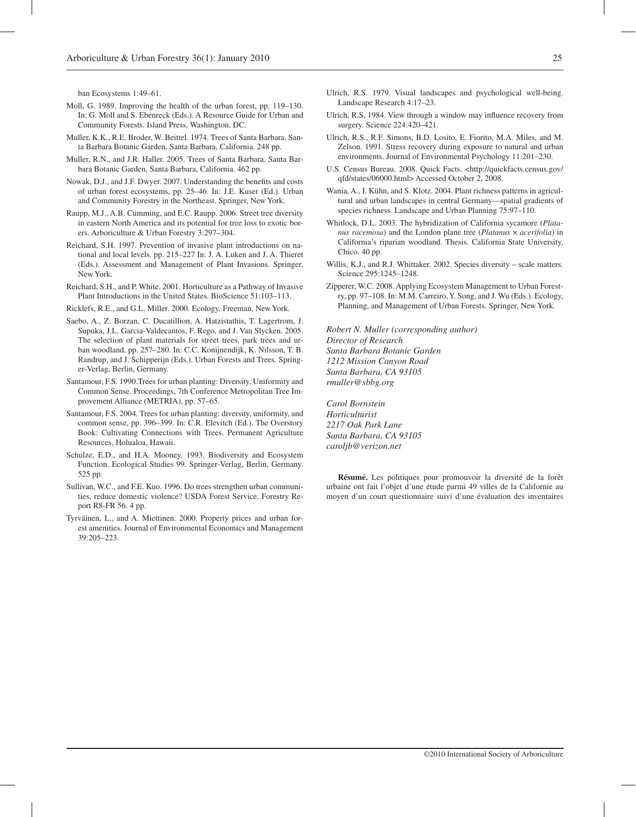ban Ecosystems 1:49–61.

- Moll, G. 1989. Improving the health of the urban forest, pp. 119–130. In: G. Moll and S. Ebenreck (Eds.). A Resource Guide for Urban and Community Forests. Island Press, Washington, DC.
- Muller, K.K., R.E. Broder, W. Beittel. 1974. Trees of Santa Barbara. Santa Barbara Botanic Garden, Santa Barbara, California. 248 pp.
- Muller, R.N., and J.R. Haller. 2005. Trees of Santa Barbara. Santa Barbara Botanic Garden, Santa Barbara, California. 462 pp.
- Nowak, D.J., and J.F. Dwyer. 2007. Understanding the benefits and costs of urban forest ecosystems, pp. 25–46. In: J.E. Kuser (Ed.). Urban and Community Forestry in the Northeast. Springer, New York.
- Raupp, M.J., A.B. Cumming, and E.C. Raupp. 2006. Street tree diversity in eastern North America and its potential for tree loss to exotic borers. Arboriculture & Urban Forestry 3:297–304.
- Reichard, S.H. 1997. Prevention of invasive plant introductions on national and local levels. pp. 215–227 In: J. A. Luken and J. A. Thieret (Eds.). Assessment and Management of Plant Invasions. Springer, New York.
- Reichard, S.H., and P. White. 2001. Horticulture as a Pathway of Invasive Plant Introductions in the United States. BioScience 51:103–113.
- Ricklefs, R.E., and G.L. Miller. 2000. Ecology. Freeman, New York.
- Saebo, A., Z. Borzan, C. Ducatillion, A. Hatzistathis, T. Lagertrom, J. Supuka, J.L. Garcia-Valdecantos, F. Rego, and J. Van Slycken. 2005. The selection of plant materials for street trees, park trees and urban woodland, pp. 257–280. In: C.C. Konijnendijk, K. Nilsson, T. B. Randrup, and J. Schipperijn (Eds.). Urban Forests and Trees. Springer-Verlag, Berlin, Germany.
- Santamour, F.S. 1990.Trees for urban planting: Diversity, Uniformity and Common Sense. Proceedings, 7th Conference Metropolitan Tree Improvement Alliance (METRIA), pp. 57–65.
- Santamour, F.S. 2004. Trees for urban planting: diversity, uniformity, and common sense, pp. 396–399. In: C.R. Elevitch (Ed.). The Overstory Book: Cultivating Connections with Trees. Permanent Agriculture Resources, Holualoa, Hawaii.
- Schulze, E.D., and H.A. Mooney. 1993. Biodiversity and Ecosystem Function. Ecological Studies 99. Springer-Verlag, Berlin, Germany. 525 pp.
- Sullivan, W.C., and F.E. Kuo. 1996. Do trees strengthen urban communities, reduce domestic violence? USDA Forest Service. Forestry Report R8-FR 56. 4 pp.
- Tyrväinen, L., and A. Miettinen. 2000. Property prices and urban forest amenities. Journal of Environmental Economics and Management 39:205–223.
- Ulrich, R.S. 1979. Visual landscapes and psychological well-being. Landscape Research 4:17–23.
- Ulrich, R.S, 1984. View through a window may influence recovery from surgery. Science 224:420–421.
- Ulrich, R.S., R.F. Simons, B.D. Losito, E. Fiorito, M.A. Miles, and M. Zelson. 1991. Stress recovery during exposure to natural and urban environments. Journal of Environmental Psychology 11:201–230.
- U.S. Census Bureau. 2008. Quick Facts. <http://quickfacts.census.gov/ qfd/states/06000.html> Accessed October 2, 2008.
- Wania, A., I. Kühn, and S. Klotz. 2004. Plant richness patterns in agricultural and urban landscapes in central Germany—spatial gradients of species richness. Landscape and Urban Planning 75:97–110.
- Whitlock, D.L. 2003. The hybridization of California sycamore (*Platanus racemosa*) and the London plane tree (*Platanus* × *acerifolia*) in California's riparian woodland. Thesis. California State University, Chico. 40 pp.
- Willis, K.J., and R.J. Whittaker. 2002. Species diversity scale matters. Science 295:1245–1248.
- Zipperer, W.C. 2008. Applying Ecosystem Management to Urban Forestry, pp. 97–108. In: M.M. Carreiro, Y. Song, and J. Wu (Eds.). Ecology, Planning, and Management of Urban Forests. Springer, New York.

*Robert N. Muller (corresponding author) Director of Research Santa Barbara Botanic Garden 1212 Mission Canyon Road Santa Barbara, CA 93105 rmuller@sbbg.org*

*Carol Bornstein Horticulturist 2217 Oak Park Lane Santa Barbara, CA 93105 caroljb@verizon.net*

**Résumé.** Les politiques pour promouvoir la diversité de la forêt urbaine ont fait l'objet d'une étude parmi 49 villes de la Californie au moyen d'un court questionnaire suivi d'une évaluation des inventaires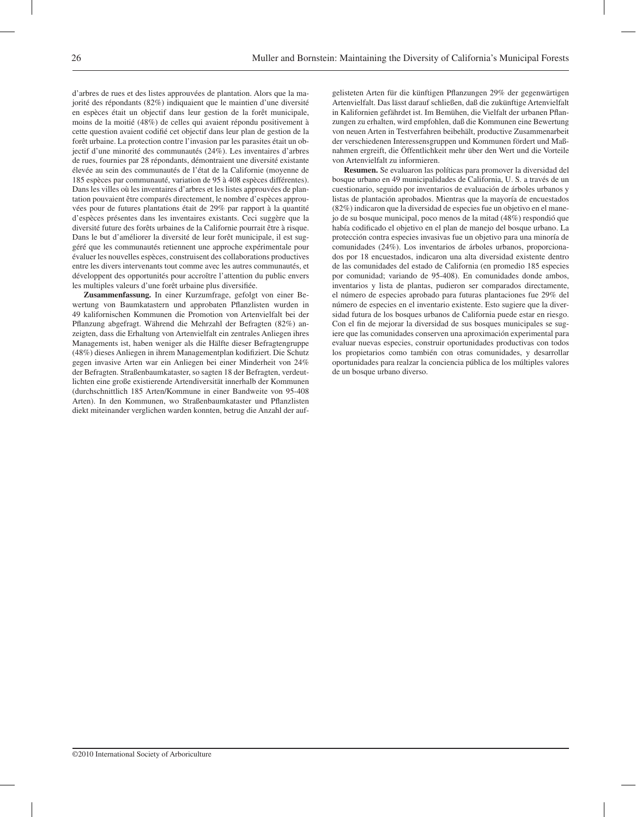d'arbres de rues et des listes approuvées de plantation. Alors que la majorité des répondants (82%) indiquaient que le maintien d'une diversité en espèces était un objectif dans leur gestion de la forêt municipale, moins de la moitié (48%) de celles qui avaient répondu positivement à cette question avaient codifié cet objectif dans leur plan de gestion de la forêt urbaine. La protection contre l'invasion par les parasites était un objectif d'une minorité des communautés (24%). Les inventaires d'arbres de rues, fournies par 28 répondants, démontraient une diversité existante élevée au sein des communautés de l'état de la Californie (moyenne de 185 espèces par communauté, variation de 95 à 408 espèces différentes). Dans les villes où les inventaires d'arbres et les listes approuvées de plantation pouvaient être comparés directement, le nombre d'espèces approuvées pour de futures plantations était de 29% par rapport à la quantité d'espèces présentes dans les inventaires existants. Ceci suggère que la diversité future des forêts urbaines de la Californie pourrait être à risque. Dans le but d'améliorer la diversité de leur forêt municipale, il est suggéré que les communautés retiennent une approche expérimentale pour évaluer les nouvelles espèces, construisent des collaborations productives entre les divers intervenants tout comme avec les autres communautés, et développent des opportunités pour accroître l'attention du public envers les multiples valeurs d'une forêt urbaine plus diversifiée.

**Zusammenfassung.** In einer Kurzumfrage, gefolgt von einer Bewertung von Baumkatastern und approbaten Pflanzlisten wurden in 49 kalifornischen Kommunen die Promotion von Artenvielfalt bei der Pflanzung abgefragt. Während die Mehrzahl der Befragten (82%) anzeigten, dass die Erhaltung von Artenvielfalt ein zentrales Anliegen ihres Managements ist, haben weniger als die Hälfte dieser Befragtengruppe (48%) dieses Anliegen in ihrem Managementplan kodifiziert. Die Schutz gegen invasive Arten war ein Anliegen bei einer Minderheit von 24% der Befragten. Straßenbaumkataster, so sagten 18 der Befragten, verdeutlichten eine große existierende Artendiversität innerhalb der Kommunen (durchschnittlich 185 Arten/Kommune in einer Bandweite von 95-408 Arten). In den Kommunen, wo Straßenbaumkataster und Pflanzlisten diekt miteinander verglichen warden konnten, betrug die Anzahl der aufgelisteten Arten für die künftigen Pflanzungen 29% der gegenwärtigen Artenvielfalt. Das lässt darauf schließen, daß die zukünftige Artenvielfalt in Kalifornien gefährdet ist. Im Bemühen, die Vielfalt der urbanen Pflanzungen zu erhalten, wird empfohlen, daß die Kommunen eine Bewertung von neuen Arten in Testverfahren beibehält, productive Zusammenarbeit der verschiedenen Interessensgruppen und Kommunen fördert und Maßnahmen ergreift, die Öffentlichkeit mehr über den Wert und die Vorteile von Artenvielfalt zu informieren.

**Resumen.** Se evaluaron las políticas para promover la diversidad del bosque urbano en 49 municipalidades de California, U. S. a través de un cuestionario, seguido por inventarios de evaluación de árboles urbanos y listas de plantación aprobados. Mientras que la mayoría de encuestados (82%) indicaron que la diversidad de especies fue un objetivo en el manejo de su bosque municipal, poco menos de la mitad (48%) respondió que había codificado el objetivo en el plan de manejo del bosque urbano. La protección contra especies invasivas fue un objetivo para una minoría de comunidades (24%). Los inventarios de árboles urbanos, proporcionados por 18 encuestados, indicaron una alta diversidad existente dentro de las comunidades del estado de California (en promedio 185 especies por comunidad; variando de 95-408). En comunidades donde ambos, inventarios y lista de plantas, pudieron ser comparados directamente, el número de especies aprobado para futuras plantaciones fue 29% del número de especies en el inventario existente. Esto sugiere que la diversidad futura de los bosques urbanos de California puede estar en riesgo. Con el fin de mejorar la diversidad de sus bosques municipales se sugiere que las comunidades conserven una aproximación experimental para evaluar nuevas especies, construir oportunidades productivas con todos los propietarios como también con otras comunidades, y desarrollar oportunidades para realzar la conciencia pública de los múltiples valores de un bosque urbano diverso.